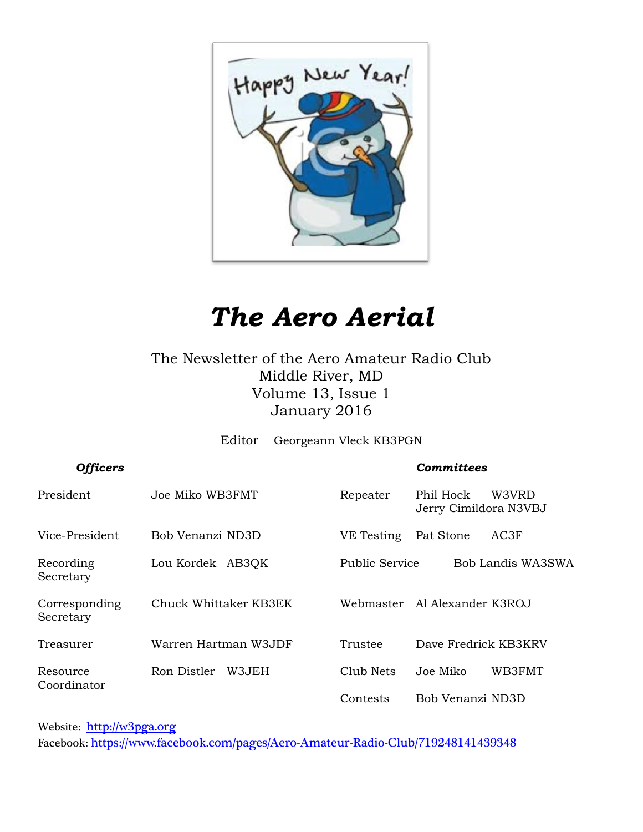

# *The Aero Aerial*

The Newsletter of the Aero Amateur Radio Club Middle River, MD Volume 13, Issue 1 January 2016

Editor Georgeann Vleck KB3PGN

| <b>Officers</b>            |                       |                       | <b>Committees</b>                           |
|----------------------------|-----------------------|-----------------------|---------------------------------------------|
| President                  | Joe Miko WB3FMT       | Repeater              | Phil Hock<br>W3VRD<br>Jerry Cimildora N3VBJ |
| Vice-President             | Bob Venanzi ND3D      | VE Testing            | AC3F<br>Pat Stone                           |
| Recording<br>Secretary     | Lou Kordek AB3QK      | <b>Public Service</b> | Bob Landis WA3SWA                           |
| Corresponding<br>Secretary | Chuck Whittaker KB3EK |                       | Webmaster – Al Alexander K3ROJ              |
| Treasurer                  | Warren Hartman W3JDF  | Trustee               | Dave Fredrick KB3KRV                        |
| Resource<br>Coordinator    | Ron Distler<br>W3JEH  | Club Nets             | WB3FMT<br>Joe Miko                          |
|                            |                       | Contests              | Bob Venanzi ND3D                            |

Website: [http://w](http://home.comcast.net/~frank-stone/Aero%20ARC/aero.htm)3pga.org

Facebook: <https://www.facebook.com/pages/Aero-Amateur-Radio-Club/719248141439348>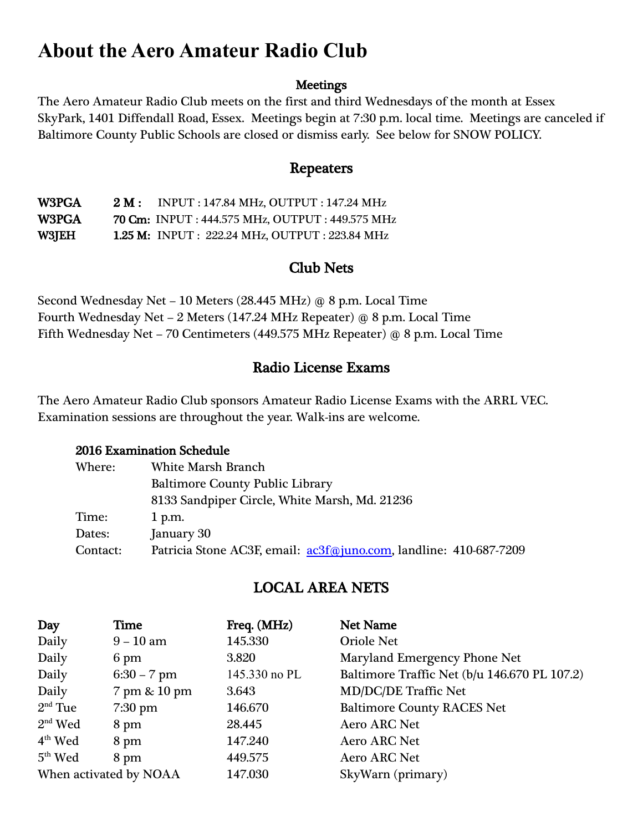# **About the Aero Amateur Radio Club**

#### **Meetings**

The Aero Amateur Radio Club meets on the first and third Wednesdays of the month at Essex SkyPark, 1401 Diffendall Road, Essex. Meetings begin at 7:30 p.m. local time. Meetings are canceled if Baltimore County Public Schools are closed or dismiss early. See below for SNOW POLICY.

#### Repeaters

W3PGA 2 M: INPUT: 147.84 MHz, OUTPUT: 147.24 MHz W3PGA 70 Cm: INPUT : 444.575 MHz, OUTPUT : 449.575 MHz W3JEH 1.25 M: INPUT : 222.24 MHz, OUTPUT : 223.84 MHz

#### Club Nets

Second Wednesday Net – 10 Meters (28.445 MHz) @ 8 p.m. Local Time Fourth Wednesday Net – 2 Meters (147.24 MHz Repeater) @ 8 p.m. Local Time Fifth Wednesday Net – 70 Centimeters (449.575 MHz Repeater) @ 8 p.m. Local Time

#### Radio License Exams

The Aero Amateur Radio Club sponsors Amateur Radio License Exams with the ARRL VEC. Examination sessions are throughout the year. Walk-ins are welcome.

#### 2016 Examination Schedule

| Where:   | <b>White Marsh Branch</b>                                         |
|----------|-------------------------------------------------------------------|
|          | <b>Baltimore County Public Library</b>                            |
|          | 8133 Sandpiper Circle, White Marsh, Md. 21236                     |
| Time:    | $1$ p.m.                                                          |
| Dates:   | January 30                                                        |
| Contact: | Patricia Stone AC3F, email: ac3f@juno.com, landline: 410-687-7209 |

#### LOCAL AREA NETS

| Day                    | Time          | Freq. (MHz)   | <b>Net Name</b>                              |
|------------------------|---------------|---------------|----------------------------------------------|
| Daily                  | $9-10$ am     | 145.330       | <b>Oriole Net</b>                            |
| Daily                  | 6 pm          | 3.820         | Maryland Emergency Phone Net                 |
| Daily                  | $6:30 - 7$ pm | 145.330 no PL | Baltimore Traffic Net (b/u 146.670 PL 107.2) |
| Daily                  | 7 pm & 10 pm  | 3.643         | <b>MD/DC/DE Traffic Net</b>                  |
| $2nd$ Tue              | $7:30$ pm     | 146.670       | <b>Baltimore County RACES Net</b>            |
| $2nd$ Wed              | 8 pm          | 28.445        | <b>Aero ARC Net</b>                          |
| $4th$ Wed              | 8 pm          | 147.240       | <b>Aero ARC Net</b>                          |
| $5th$ Wed              | 8 pm          | 449.575       | <b>Aero ARC Net</b>                          |
| When activated by NOAA |               | 147.030       | SkyWarn (primary)                            |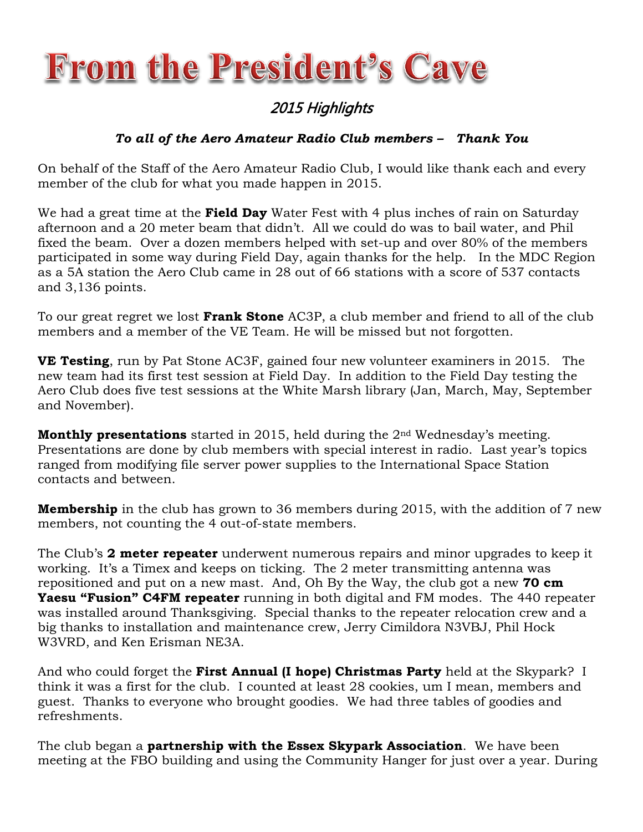# **From the President's Cave**

#### 2015 Highlights

#### *To all of the Aero Amateur Radio Club members – Thank You*

On behalf of the Staff of the Aero Amateur Radio Club, I would like thank each and every member of the club for what you made happen in 2015.

We had a great time at the **Field Day** Water Fest with 4 plus inches of rain on Saturday afternoon and a 20 meter beam that didn't. All we could do was to bail water, and Phil fixed the beam. Over a dozen members helped with set-up and over 80% of the members participated in some way during Field Day, again thanks for the help. In the MDC Region as a 5A station the Aero Club came in 28 out of 66 stations with a score of 537 contacts and 3,136 points.

To our great regret we lost **Frank Stone** AC3P, a club member and friend to all of the club members and a member of the VE Team. He will be missed but not forgotten.

**VE Testing**, run by Pat Stone AC3F, gained four new volunteer examiners in 2015. The new team had its first test session at Field Day. In addition to the Field Day testing the Aero Club does five test sessions at the White Marsh library (Jan, March, May, September and November).

**Monthly presentations** started in 2015, held during the 2nd Wednesday's meeting. Presentations are done by club members with special interest in radio. Last year's topics ranged from modifying file server power supplies to the International Space Station contacts and between.

**Membership** in the club has grown to 36 members during 2015, with the addition of 7 new members, not counting the 4 out-of-state members.

The Club's **2 meter repeater** underwent numerous repairs and minor upgrades to keep it working. It's a Timex and keeps on ticking. The 2 meter transmitting antenna was repositioned and put on a new mast. And, Oh By the Way, the club got a new **70 cm Yaesu "Fusion" C4FM repeater** running in both digital and FM modes. The 440 repeater was installed around Thanksgiving. Special thanks to the repeater relocation crew and a big thanks to installation and maintenance crew, Jerry Cimildora N3VBJ, Phil Hock W3VRD, and Ken Erisman NE3A.

And who could forget the **First Annual (I hope) Christmas Party** held at the Skypark? I think it was a first for the club. I counted at least 28 cookies, um I mean, members and guest. Thanks to everyone who brought goodies. We had three tables of goodies and refreshments.

The club began a **partnership with the Essex Skypark Association**. We have been meeting at the FBO building and using the Community Hanger for just over a year. During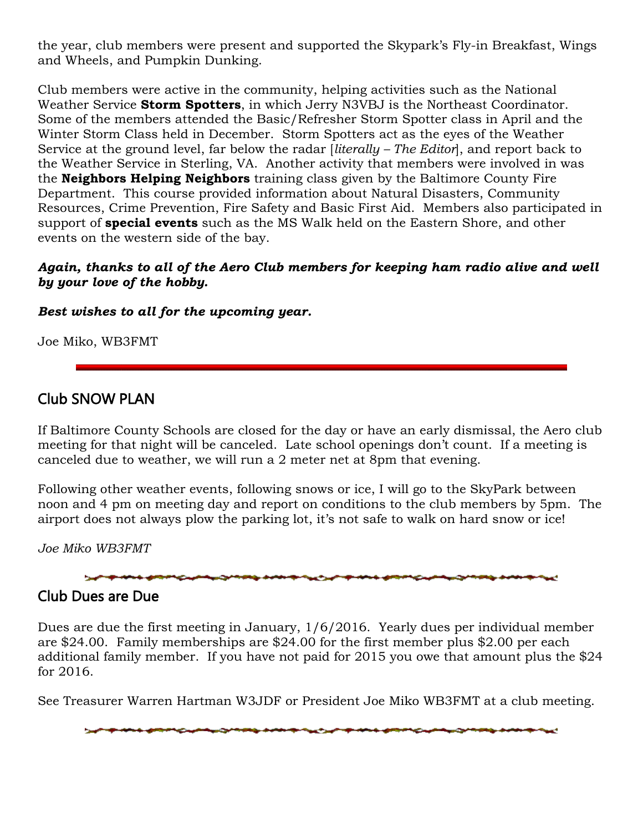the year, club members were present and supported the Skypark's Fly-in Breakfast, Wings and Wheels, and Pumpkin Dunking.

Club members were active in the community, helping activities such as the National Weather Service **Storm Spotters**, in which Jerry N3VBJ is the Northeast Coordinator. Some of the members attended the Basic/Refresher Storm Spotter class in April and the Winter Storm Class held in December. Storm Spotters act as the eyes of the Weather Service at the ground level, far below the radar [*literally – The Editor*], and report back to the Weather Service in Sterling, VA. Another activity that members were involved in was the **Neighbors Helping Neighbors** training class given by the Baltimore County Fire Department. This course provided information about Natural Disasters, Community Resources, Crime Prevention, Fire Safety and Basic First Aid. Members also participated in support of **special events** such as the MS Walk held on the Eastern Shore, and other events on the western side of the bay.

#### *Again, thanks to all of the Aero Club members for keeping ham radio alive and well by your love of the hobby.*

*Best wishes to all for the upcoming year.*

Joe Miko, WB3FMT

#### Club SNOW PLAN

If Baltimore County Schools are closed for the day or have an early dismissal, the Aero club meeting for that night will be canceled. Late school openings don't count. If a meeting is canceled due to weather, we will run a 2 meter net at 8pm that evening.

Following other weather events, following snows or ice, I will go to the SkyPark between noon and 4 pm on meeting day and report on conditions to the club members by 5pm. The airport does not always plow the parking lot, it's not safe to walk on hard snow or ice!

*Joe Miko WB3FMT*



#### Club Dues are Due

Dues are due the first meeting in January, 1/6/2016. Yearly dues per individual member are \$24.00. Family memberships are \$24.00 for the first member plus \$2.00 per each additional family member. If you have not paid for 2015 you owe that amount plus the \$24 for 2016.

See Treasurer Warren Hartman W3JDF or President Joe Miko WB3FMT at a club meeting.

magazinin dalam dan kematan kalendar dan berasa dan berasa dan berasa dan berasa dan berasa dan berasa dan ber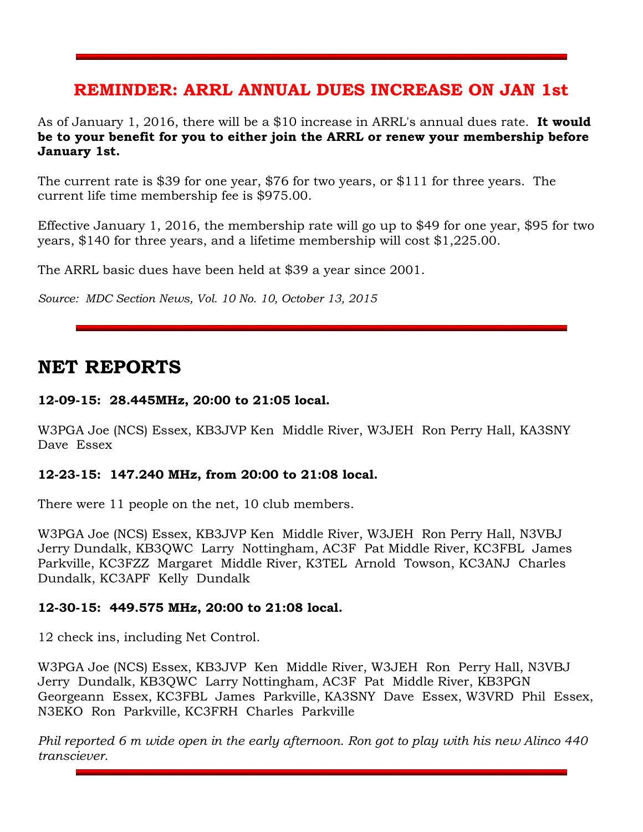#### **REMINDER: ARRL ANNUAL DUES INCREASE ON JAN 1st**

As of January 1, 2016, there will be a \$10 increase in ARRL's annual dues rate. **It would be to your benefit for you to either join the ARRL or renew your membership before January 1st.** 

The current rate is \$39 for one year, \$76 for two years, or \$111 for three years. The current life time membership fee is \$975.00.

Effective January 1, 2016, the membership rate will go up to \$49 for one year, \$95 for two years, \$140 for three years, and a lifetime membership will cost \$1,225.00.

The ARRL basic dues have been held at \$39 a year since 2001.

*Source: MDC Section News, Vol. 10 No. 10, October 13, 2015* 

#### **NET REPORTS**

#### **12-09-15: 28.445MHz, 20:00 to 21:05 local.**

W3PGA Joe (NCS) Essex, KB3JVP Ken Middle River, W3JEH Ron Perry Hall, KA3SNY Dave Essex

#### **12-23-15: 147.240 MHz, from 20:00 to 21:08 local.**

There were 11 people on the net, 10 club members.

W3PGA Joe (NCS) Essex, KB3JVP Ken Middle River, W3JEH Ron Perry Hall, N3VBJ Jerry Dundalk, KB3QWC Larry Nottingham, AC3F Pat Middle River, KC3FBL James Parkville, KC3FZZ Margaret Middle River, K3TEL Arnold Towson, KC3ANJ Charles Dundalk, KC3APF Kelly Dundalk

#### **12-30-15: 449.575 MHz, 20:00 to 21:08 local.**

12 check ins, including Net Control.

W3PGA Joe (NCS) Essex, KB3JVP Ken Middle River, W3JEH Ron Perry Hall, N3VBJ Jerry Dundalk, KB3QWC Larry Nottingham, AC3F Pat Middle River, KB3PGN Georgeann Essex, KC3FBL James Parkville, KA3SNY Dave Essex, W3VRD Phil Essex, N3EKO Ron Parkville, KC3FRH Charles Parkville

*Phil reported 6 m wide open in the early afternoon. Ron got to play with his new Alinco 440 transciever.*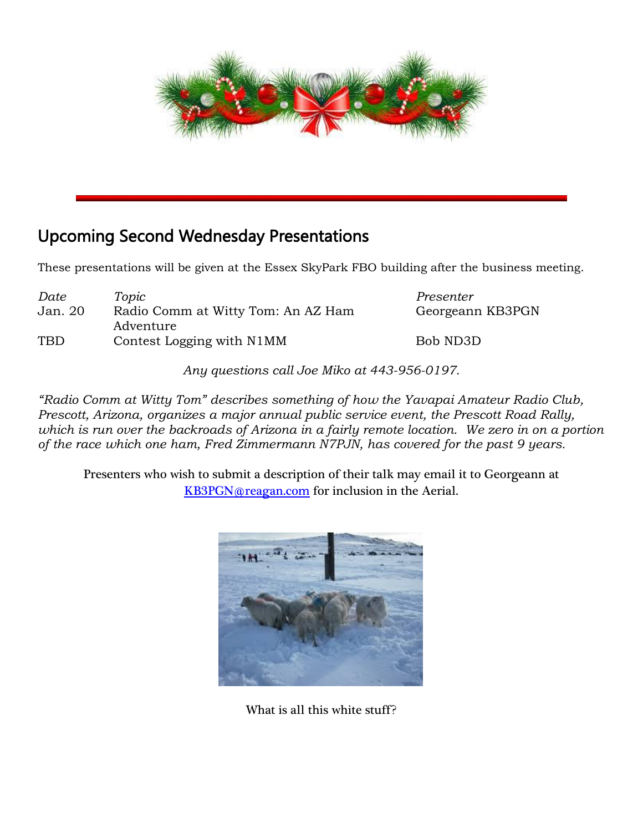

## Upcoming Second Wednesday Presentations

These presentations will be given at the Essex SkyPark FBO building after the business meeting.

| Date       | Topic                                           | Presenter        |
|------------|-------------------------------------------------|------------------|
| Jan. 20    | Radio Comm at Witty Tom: An AZ Ham<br>Adventure | Georgeann KB3PGN |
| <b>TBD</b> | Contest Logging with N1MM                       | Bob ND3D         |

*Any questions call Joe Miko at 443-956-0197.*

*"Radio Comm at Witty Tom" describes something of how the Yavapai Amateur Radio Club, Prescott, Arizona, organizes a major annual public service event, the Prescott Road Rally, which is run over the backroads of Arizona in a fairly remote location. We zero in on a portion of the race which one ham, Fred Zimmermann N7PJN, has covered for the past 9 years.*

Presenters who wish to submit a description of their talk may email it to Georgeann at [KB3PGN@reagan.com](mailto:KB3PGN@reagan.com) for inclusion in the Aerial.



What is all this white stuff?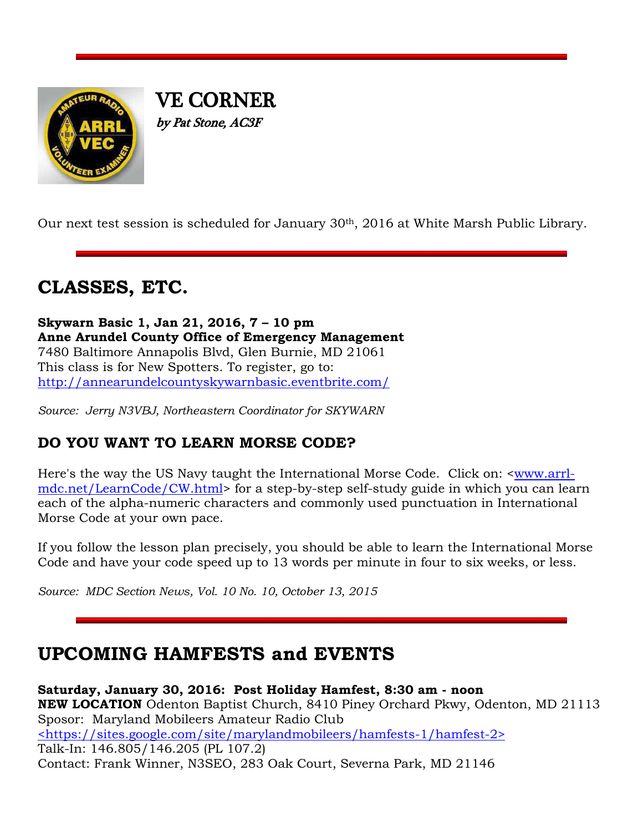

VE CORNER by Pat Stone, AC3F

Our next test session is scheduled for January 30th, 2016 at White Marsh Public Library.

# **CLASSES, ETC.**

**Skywarn Basic 1, Jan 21, 2016, 7 – 10 pm Anne Arundel County Office of Emergency Management** 7480 Baltimore Annapolis Blvd, Glen Burnie, MD 21061 This class is for New Spotters. To register, go to: <http://annearundelcountyskywarnbasic.eventbrite.com/>

*Source: Jerry N3VBJ, Northeastern Coordinator for SKYWARN*

#### **DO YOU WANT TO LEARN MORSE CODE?**

Here's the way the US Navy taught the International Morse Code. Click on: [<www.arrl](http://www.arrl-mdc.net/LearnCode/CW.html)[mdc.net/LearnCode/CW.html>](http://www.arrl-mdc.net/LearnCode/CW.html) for a step-by-step self-study guide in which you can learn each of the alpha-numeric characters and commonly used punctuation in International Morse Code at your own pace.

If you follow the lesson plan precisely, you should be able to learn the International Morse Code and have your code speed up to 13 words per minute in four to six weeks, or less.

*Source: MDC Section News, Vol. 10 No. 10, October 13, 2015* 

## **UPCOMING HAMFESTS and EVENTS**

**Saturday, January 30, 2016: Post Holiday Hamfest, 8:30 am - noon NEW LOCATION** Odenton Baptist Church, 8410 Piney Orchard Pkwy, Odenton, MD 21113 Sposor: Maryland Mobileers Amateur Radio Club [<https://sites.google.com/site/marylandmobileers/hamfests-1/hamfest-2>](https://sites.google.com/site/marylandmobileers/hamfests-1/hamfest-2) Talk-In: 146.805/146.205 (PL 107.2) Contact: Frank Winner, N3SEO, 283 Oak Court, Severna Park, MD 21146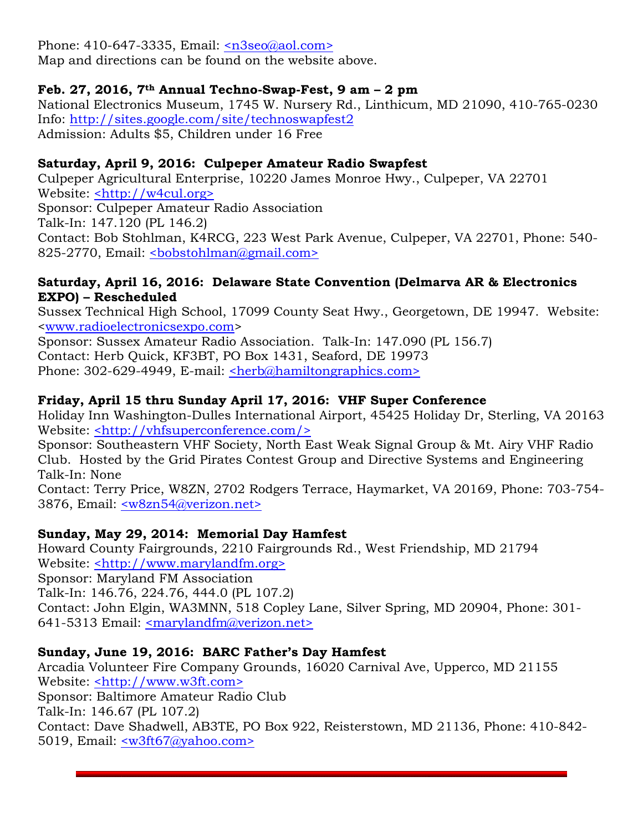Phone: 410-647-3335, Email: [<n3seo@aol.com>](mailto:n3seo@aol.com)

Map and directions can be found on the website above.

#### **Feb. 27, 2016, 7th Annual Techno-Swap-Fest, 9 am – 2 pm**

National Electronics Museum, 1745 W. Nursery Rd., Linthicum, MD 21090, 410-765-0230 Info:<http://sites.google.com/site/technoswapfest2> Admission: Adults \$5, Children under 16 Free

#### **Saturday, April 9, 2016: Culpeper Amateur Radio Swapfest**

Culpeper Agricultural Enterprise, 10220 James Monroe Hwy., Culpeper, VA 22701 Website: [<http://w4cul.org>](http://w4cul.org/) Sponsor: Culpeper Amateur Radio Association Talk-In: 147.120 (PL 146.2) Contact: Bob Stohlman, K4RCG, 223 West Park Avenue, Culpeper, VA 22701, Phone: 540- 825-2770, Email: <br/>bobstohlman@gmail.com>

#### **Saturday, April 16, 2016: Delaware State Convention (Delmarva AR & Electronics EXPO) – Rescheduled**

Sussex Technical High School, 17099 County Seat Hwy., Georgetown, DE 19947. Website: [<www.radioelectronicsexpo.com>](http://www.radioelectronicsexpo.com/)

Sponsor: Sussex Amateur Radio Association. Talk-In: 147.090 (PL 156.7) Contact: Herb Quick, KF3BT, PO Box 1431, Seaford, DE 19973 Phone: 302-629-4949, E-mail: [<herb@hamiltongraphics.com>](mailto:herb@hamiltongraphics.com)

#### **Friday, April 15 thru Sunday April 17, 2016: VHF Super Conference**

Holiday Inn Washington-Dulles International Airport, 45425 Holiday Dr, Sterling, VA 20163 Website: [<http://vhfsuperconference.com/>](http://vhfsuperconference.com/)

Sponsor: Southeastern VHF Society, North East Weak Signal Group & Mt. Airy VHF Radio Club. Hosted by the Grid Pirates Contest Group and Directive Systems and Engineering Talk-In: None

Contact: Terry Price, W8ZN, 2702 Rodgers Terrace, Haymarket, VA 20169, Phone: 703-754- 3876, Email: [<w8zn54@verizon.net>](mailto:w8zn54@verizon.net)

#### **Sunday, May 29, 2014: Memorial Day Hamfest**

Howard County Fairgrounds, 2210 Fairgrounds Rd., West Friendship, MD 21794 Website: [<http://www.marylandfm.org>](http://www.marylandfm.org/) Sponsor: Maryland FM Association Talk-In: 146.76, 224.76, 444.0 (PL 107.2) Contact: John Elgin, WA3MNN, 518 Copley Lane, Silver Spring, MD 20904, Phone: 301- 641-5313 Email: [<marylandfm@verizon.net>](mailto:marylandfm@verizon.net)

#### **Sunday, June 19, 2016: BARC Father's Day Hamfest**

Arcadia Volunteer Fire Company Grounds, 16020 Carnival Ave, Upperco, MD 21155 Website: [<http://www.w3ft.com>](http://www.w3ft.com/) Sponsor: Baltimore Amateur Radio Club Talk-In: 146.67 (PL 107.2) Contact: Dave Shadwell, AB3TE, PO Box 922, Reisterstown, MD 21136, Phone: 410-842- 5019, Email: [<w3ft67@yahoo.com>](mailto:w3ft67@yahoo.com)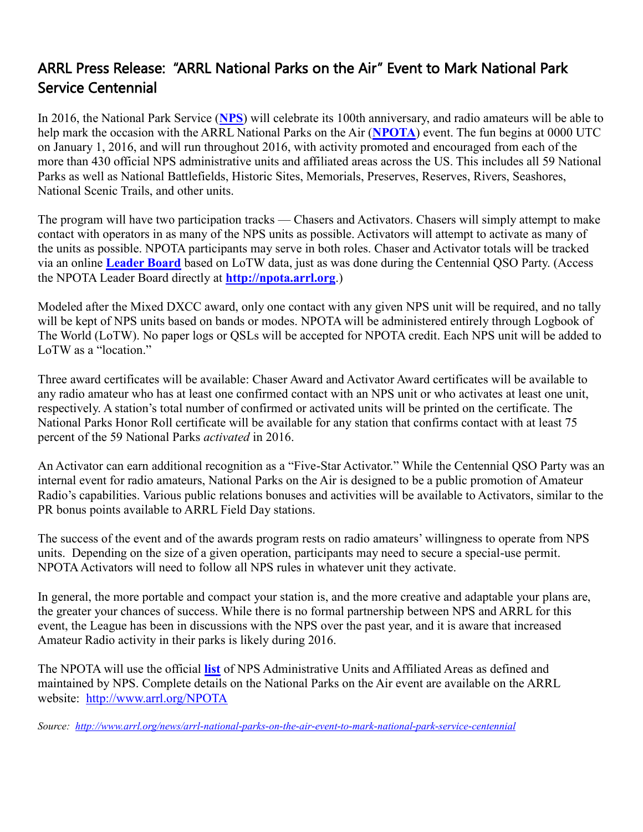#### ARRL Press Release: "ARRL National Parks on the Air" Event to Mark National Park Service Centennial

In 2016, the National Park Service (**[NPS](http://www.nps.gov/index.htm)**) will celebrate its 100th anniversary, and radio amateurs will be able to help mark the occasion with the ARRL National Parks on the Air (**[NPOTA](http://www.arrl.org/NPOTA)**) event. The fun begins at 0000 UTC on January 1, 2016, and will run throughout 2016, with activity promoted and encouraged from each of the more than 430 official NPS administrative units and affiliated areas across the US. This includes all 59 National Parks as well as National Battlefields, Historic Sites, Memorials, Preserves, Reserves, Rivers, Seashores, National Scenic Trails, and other units.

The program will have two participation tracks — Chasers and Activators. Chasers will simply attempt to make contact with operators in as many of the NPS units as possible. Activators will attempt to activate as many of the units as possible. NPOTA participants may serve in both roles. Chaser and Activator totals will be tracked via an online **[Leader Board](http://npota.arrl.org/)** based on LoTW data, just as was done during the Centennial QSO Party. (Access the NPOTA Leader Board directly at **[http://npota.arrl.org](http://npota.arrl.org/)**.)

Modeled after the Mixed DXCC award, only one contact with any given NPS unit will be required, and no tally will be kept of NPS units based on bands or modes. NPOTA will be administered entirely through Logbook of The World (LoTW). No paper logs or QSLs will be accepted for NPOTA credit. Each NPS unit will be added to LoTW as a "location."

Three award certificates will be available: Chaser Award and Activator Award certificates will be available to any radio amateur who has at least one confirmed contact with an NPS unit or who activates at least one unit, respectively. A station's total number of confirmed or activated units will be printed on the certificate. The National Parks Honor Roll certificate will be available for any station that confirms contact with at least 75 percent of the 59 National Parks *activated* in 2016.

An Activator can earn additional recognition as a "Five-Star Activator." While the Centennial QSO Party was an internal event for radio amateurs, National Parks on the Air is designed to be a public promotion of Amateur Radio's capabilities. Various public relations bonuses and activities will be available to Activators, similar to the PR bonus points available to ARRL Field Day stations.

The success of the event and of the awards program rests on radio amateurs' willingness to operate from NPS units. Depending on the size of a given operation, participants may need to secure a special-use permit. NPOTA Activators will need to follow all NPS rules in whatever unit they activate.

In general, the more portable and compact your station is, and the more creative and adaptable your plans are, the greater your chances of success. While there is no formal partnership between NPS and ARRL for this event, the League has been in discussions with the NPS over the past year, and it is aware that increased Amateur Radio activity in their parks is likely during 2016.

The NPOTA will use the official **[list](http://www.nps.gov/aboutus/faqs.htm)** of NPS Administrative Units and Affiliated Areas as defined and maintained by NPS. Complete details on the National Parks on the Air event are available on the ARRL website: <http://www.arrl.org/NPOTA>

*Source:<http://www.arrl.org/news/arrl-national-parks-on-the-air-event-to-mark-national-park-service-centennial>*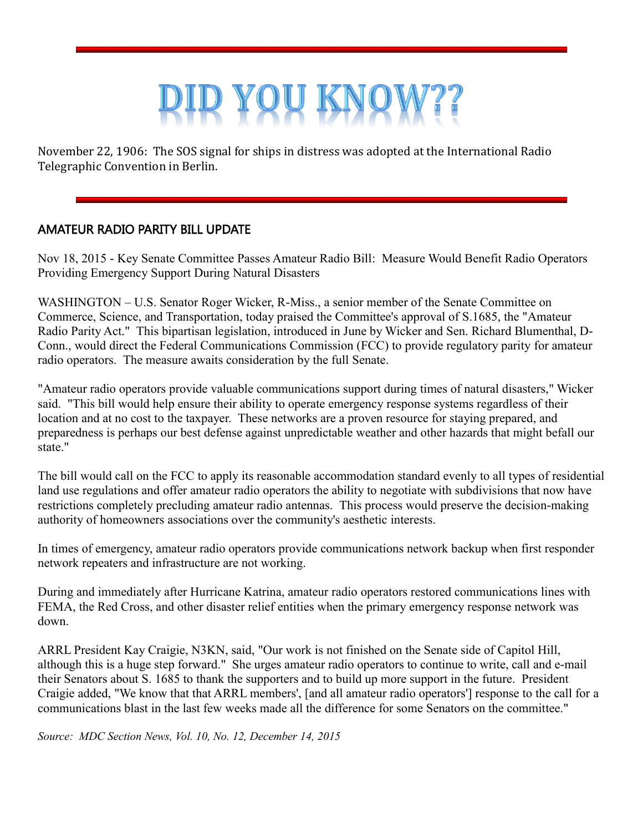# YOU KN

November 22, 1906: The SOS signal for ships in distress was adopted at the International Radio Telegraphic Convention in Berlin.

#### AMATEUR RADIO PARITY BILL UPDATE

Nov 18, 2015 - Key Senate Committee Passes Amateur Radio Bill: Measure Would Benefit Radio Operators Providing Emergency Support During Natural Disasters

WASHINGTON – U.S. Senator Roger Wicker, R-Miss., a senior member of the Senate Committee on Commerce, Science, and Transportation, today praised the Committee's approval of S.1685, the "Amateur Radio Parity Act." This bipartisan legislation, introduced in June by Wicker and Sen. Richard Blumenthal, D-Conn., would direct the Federal Communications Commission (FCC) to provide regulatory parity for amateur radio operators. The measure awaits consideration by the full Senate.

"Amateur radio operators provide valuable communications support during times of natural disasters," Wicker said. "This bill would help ensure their ability to operate emergency response systems regardless of their location and at no cost to the taxpayer. These networks are a proven resource for staying prepared, and preparedness is perhaps our best defense against unpredictable weather and other hazards that might befall our state."

The bill would call on the FCC to apply its reasonable accommodation standard evenly to all types of residential land use regulations and offer amateur radio operators the ability to negotiate with subdivisions that now have restrictions completely precluding amateur radio antennas. This process would preserve the decision-making authority of homeowners associations over the community's aesthetic interests.

In times of emergency, amateur radio operators provide communications network backup when first responder network repeaters and infrastructure are not working.

During and immediately after Hurricane Katrina, amateur radio operators restored communications lines with FEMA, the Red Cross, and other disaster relief entities when the primary emergency response network was down.

ARRL President Kay Craigie, N3KN, said, "Our work is not finished on the Senate side of Capitol Hill, although this is a huge step forward." She urges amateur radio operators to continue to write, call and e-mail their Senators about S. 1685 to thank the supporters and to build up more support in the future. President Craigie added, "We know that that ARRL members', [and all amateur radio operators'] response to the call for a communications blast in the last few weeks made all the difference for some Senators on the committee."

*Source: MDC Section News, Vol. 10, No. 12, December 14, 2015*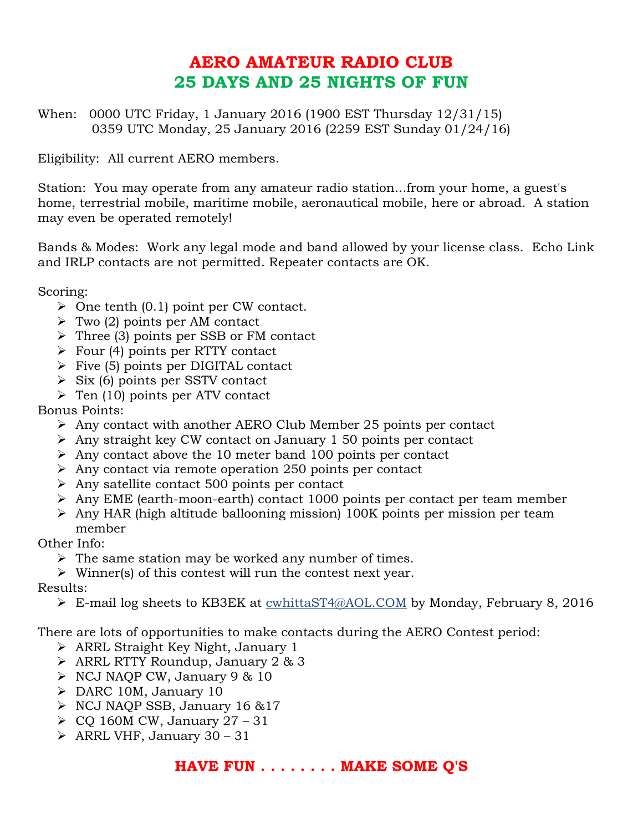## **AERO AMATEUR RADIO CLUB 25 DAYS AND 25 NIGHTS OF FUN**

When: 0000 UTC Friday, 1 January 2016 (1900 EST Thursday 12/31/15) 0359 UTC Monday, 25 January 2016 (2259 EST Sunday 01/24/16)

Eligibility: All current AERO members.

Station: You may operate from any amateur radio station...from your home, a guest's home, terrestrial mobile, maritime mobile, aeronautical mobile, here or abroad. A station may even be operated remotely!

Bands & Modes: Work any legal mode and band allowed by your license class. Echo Link and IRLP contacts are not permitted. Repeater contacts are OK.

Scoring:

- $\triangleright$  One tenth (0.1) point per CW contact.
- $\triangleright$  Two (2) points per AM contact
- Three (3) points per SSB or FM contact
- $\triangleright$  Four (4) points per RTTY contact
- $\triangleright$  Five (5) points per DIGITAL contact
- $\triangleright$  Six (6) points per SSTV contact
- $\triangleright$  Ten (10) points per ATV contact

Bonus Points:

- $\geq$  Any contact with another AERO Club Member 25 points per contact
- $\triangleright$  Any straight key CW contact on January 1 50 points per contact
- $\triangleright$  Any contact above the 10 meter band 100 points per contact
- $\triangleright$  Any contact via remote operation 250 points per contact
- $\triangleright$  Any satellite contact 500 points per contact
- $\triangleright$  Any EME (earth-moon-earth) contact 1000 points per contact per team member
- $\triangleright$  Any HAR (high altitude ballooning mission) 100K points per mission per team member

Other Info:

 $\triangleright$  The same station may be worked any number of times.

 $\triangleright$  Winner(s) of this contest will run the contest next year.

Results:

E-mail log sheets to KB3EK at cwhittaST4@AOL.COM by Monday, February 8, 2016

There are lots of opportunities to make contacts during the AERO Contest period:

- ARRL Straight Key Night, January 1
- ARRL RTTY Roundup, January 2 & 3
- $\triangleright$  NCJ NAQP CW, January 9 & 10
- DARC 10M, January 10
- $\triangleright$  NCJ NAOP SSB, January 16 & 17
- $\geq$  CQ 160M CW, January 27 31
- $\triangleright$  ARRL VHF, January 30 31